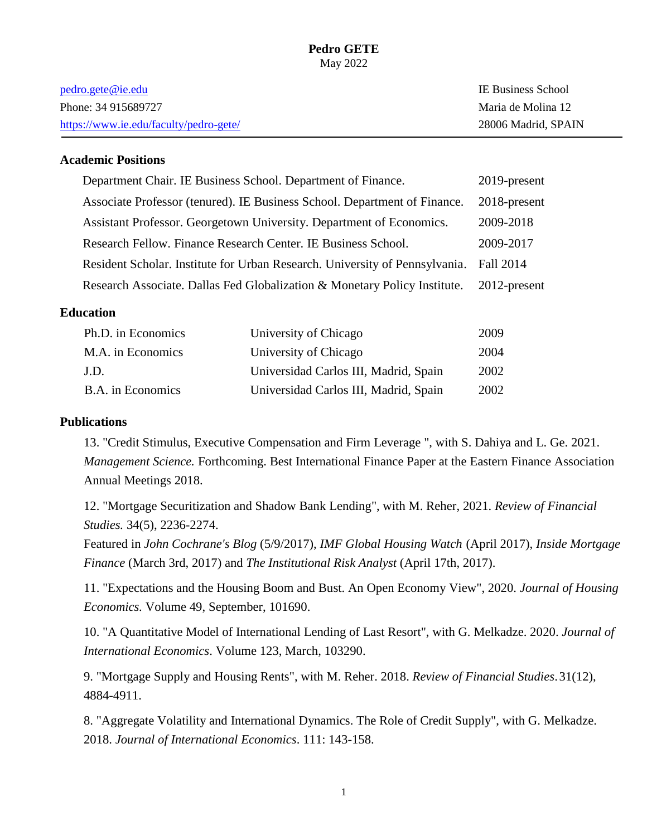#### **Pedro GETE** May 2022

| <u>pedro.gete@ie.edu</u>               | <b>IE Business School</b> |
|----------------------------------------|---------------------------|
| Phone: 34 915689727                    | Maria de Molina 12        |
| https://www.ie.edu/faculty/pedro-gete/ | 28006 Madrid, SPAIN       |

## **Academic Positions**

| Department Chair. IE Business School. Department of Finance.                | 2019-present    |
|-----------------------------------------------------------------------------|-----------------|
| Associate Professor (tenured). IE Business School. Department of Finance.   | $2018$ -present |
| Assistant Professor. Georgetown University. Department of Economics.        | 2009-2018       |
| Research Fellow. Finance Research Center. IE Business School.               | 2009-2017       |
| Resident Scholar. Institute for Urban Research. University of Pennsylvania. | Fall 2014       |
| Research Associate. Dallas Fed Globalization & Monetary Policy Institute.   | $2012$ -present |

#### **Education**

| Ph.D. in Economics | University of Chicago                 | 2009 |
|--------------------|---------------------------------------|------|
| M.A. in Economics  | University of Chicago                 | 2004 |
| J.D.               | Universidad Carlos III, Madrid, Spain | 2002 |
| B.A. in Economics  | Universidad Carlos III, Madrid, Spain | 2002 |

#### **Publications**

13. "Credit Stimulus, Executive Compensation and Firm Leverage ", with S. Dahiya and L. Ge. 2021. *Management Science.* Forthcoming. Best International Finance Paper at the Eastern Finance Association Annual Meetings 2018.

12. "Mortgage Securitization and Shadow Bank Lending", with M. Reher, 2021. *Review of Financial Studies.* 34(5), 2236-2274.

Featured in *John Cochrane's Blog* (5/9/2017), *IMF Global Housing Watch* (April 2017), *Inside Mortgage Finance* (March 3rd, 2017) and *The Institutional Risk Analyst* (April 17th, 2017).

11. "Expectations and the Housing Boom and Bust. An Open Economy View", 2020. *Journal of Housing Economics.* [Volume 49,](https://www.sciencedirect.com/science/journal/10511377/49/supp/C) September, 101690.

10. "A Quantitative Model of International Lending of Last Resort", with G. Melkadze. 2020. *Journal of International Economics*. [Volume 123,](https://www.sciencedirect.com/science/journal/00221996/123/supp/C) March, 103290.

9. "Mortgage Supply and Housing Rents", with M. Reher. 2018. *Review of Financial Studies*.31(12), 4884-4911.

8. "Aggregate Volatility and International Dynamics. The Role of Credit Supply", with G. Melkadze. 2018. *Journal of International Economics*. 111: 143-158.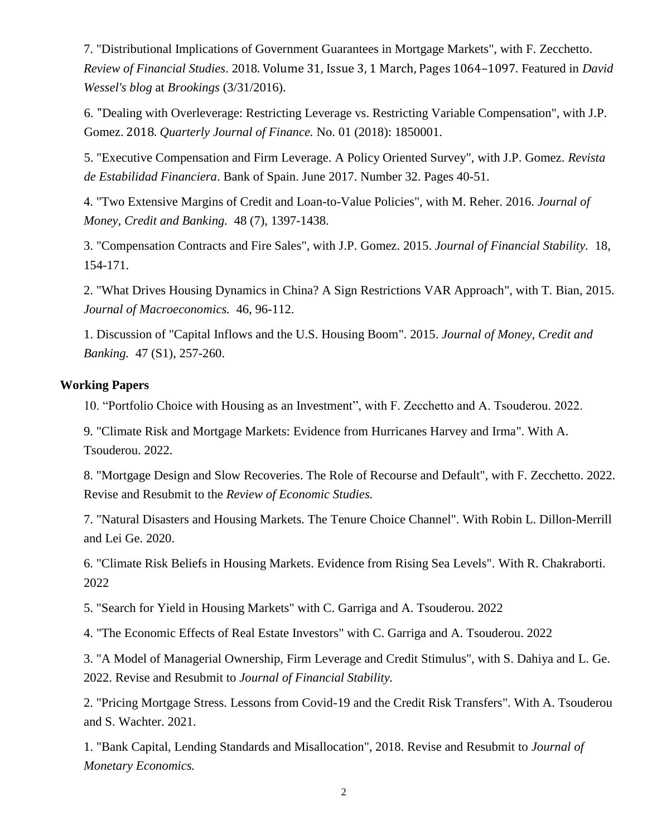7. "Distributional Implications of Government Guarantees in Mortgage Markets", with F. Zecchetto. *Review of Financial Studies*. 2018. Volume 31, Issue 3, 1 March, Pages 1064–1097. Featured in *David Wessel's blog* at *Brookings* (3/31/2016).

6. "Dealing with Overleverage: Restricting Leverage vs. Restricting Variable Compensation", with J.P. Gomez. 2018. *Quarterly Journal of Finance.* No. 01 (2018): 1850001.

5. "Executive Compensation and Firm Leverage. A Policy Oriented Survey", with J.P. Gomez. *Revista de Estabilidad Financiera*. Bank of Spain. June 2017. Number 32. Pages 40-51.

4. "Two Extensive Margins of Credit and Loan-to-Value Policies", with M. Reher. 2016. *Journal of Money, Credit and Banking.* 48 (7), 1397-1438.

3. "Compensation Contracts and Fire Sales", with J.P. Gomez. 2015. *Journal of Financial Stability.* 18, 154-171.

2. "What Drives Housing Dynamics in China? A Sign Restrictions VAR Approach", with T. Bian, 2015. *Journal of Macroeconomics.* 46, 96-112.

1. Discussion of "Capital Inflows and the U.S. Housing Boom". 2015. *Journal of Money, Credit and Banking.* 47 (S1), 257-260.

## **Working Papers**

10. "Portfolio Choice with Housing as an Investment", with F. Zecchetto and A. Tsouderou. 2022.

9. "Climate Risk and Mortgage Markets: Evidence from Hurricanes Harvey and Irma". With A. Tsouderou. 2022.

8. "Mortgage Design and Slow Recoveries. The Role of Recourse and Default", with F. Zecchetto. 2022. Revise and Resubmit to the *Review of Economic Studies.*

7. "Natural Disasters and Housing Markets. The Tenure Choice Channel". With Robin L. Dillon-Merrill and Lei Ge. 2020.

6. "Climate Risk Beliefs in Housing Markets. Evidence from Rising Sea Levels". With R. Chakraborti. 2022

5. "Search for Yield in Housing Markets" with C. Garriga and A. Tsouderou. 2022

4. "The Economic Effects of Real Estate Investors" with C. Garriga and A. Tsouderou. 2022

3. "A Model of Managerial Ownership, Firm Leverage and Credit Stimulus", with S. Dahiya and L. Ge. 2022. Revise and Resubmit to *Journal of Financial Stability.*

2. "Pricing Mortgage Stress. Lessons from Covid-19 and the Credit Risk Transfers". With A. Tsouderou and S. Wachter. 2021.

1. "Bank Capital, Lending Standards and Misallocation", 2018. Revise and Resubmit to *Journal of Monetary Economics.*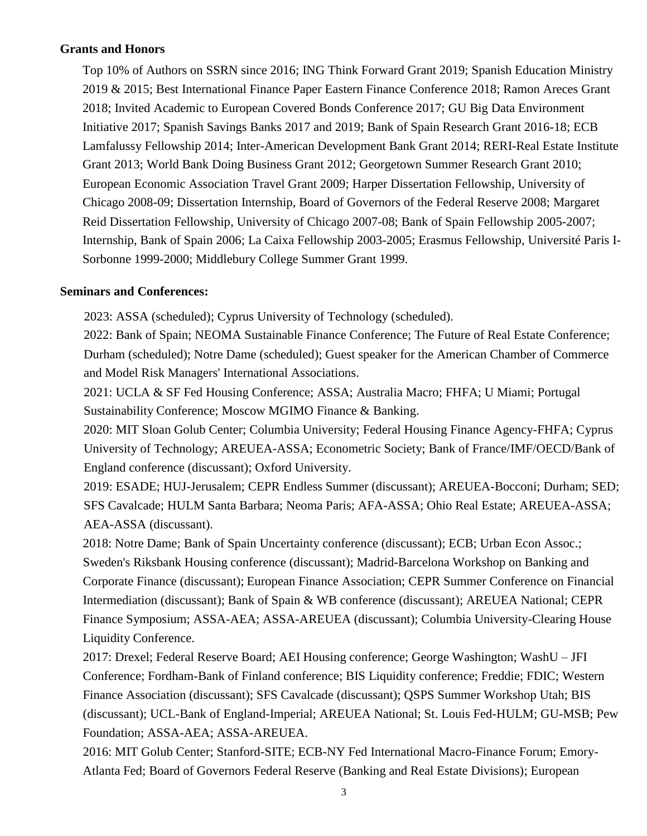## **Grants and Honors**

Top 10% of Authors on SSRN since 2016; ING Think Forward Grant 2019; Spanish Education Ministry 2019 & 2015; Best International Finance Paper Eastern Finance Conference 2018; Ramon Areces Grant 2018; Invited Academic to European Covered Bonds Conference 2017; GU Big Data Environment Initiative 2017; Spanish Savings Banks 2017 and 2019; Bank of Spain Research Grant 2016-18; ECB Lamfalussy Fellowship 2014; Inter-American Development Bank Grant 2014; RERI-Real Estate Institute Grant 2013; World Bank Doing Business Grant 2012; Georgetown Summer Research Grant 2010; European Economic Association Travel Grant 2009; Harper Dissertation Fellowship, University of Chicago 2008-09; Dissertation Internship, Board of Governors of the Federal Reserve 2008; Margaret Reid Dissertation Fellowship, University of Chicago 2007-08; Bank of Spain Fellowship 2005-2007; Internship, Bank of Spain 2006; La Caixa Fellowship 2003-2005; Erasmus Fellowship, Université Paris I-Sorbonne 1999-2000; Middlebury College Summer Grant 1999.

### **Seminars and Conferences:**

2023: ASSA (scheduled); Cyprus University of Technology (scheduled).

2022: Bank of Spain; NEOMA Sustainable Finance Conference; The Future of Real Estate Conference; Durham (scheduled); Notre Dame (scheduled); Guest speaker for the American Chamber of Commerce and Model Risk Managers' International Associations.

2021: UCLA & SF Fed Housing Conference; ASSA; Australia Macro; FHFA; U Miami; Portugal Sustainability Conference; Moscow MGIMO Finance & Banking.

2020: MIT Sloan Golub Center; Columbia University; Federal Housing Finance Agency-FHFA; Cyprus University of Technology; AREUEA-ASSA; Econometric Society; Bank of France/IMF/OECD/Bank of England conference (discussant); Oxford University.

2019: ESADE; HUJ-Jerusalem; CEPR Endless Summer (discussant); AREUEA-Bocconi; Durham; SED; SFS Cavalcade; HULM Santa Barbara; Neoma Paris; AFA-ASSA; Ohio Real Estate; AREUEA-ASSA; AEA-ASSA (discussant).

2018: Notre Dame; Bank of Spain Uncertainty conference (discussant); ECB; Urban Econ Assoc.; Sweden's Riksbank Housing conference (discussant); Madrid-Barcelona Workshop on Banking and Corporate Finance (discussant); European Finance Association; CEPR Summer Conference on Financial Intermediation (discussant); Bank of Spain & WB conference (discussant); AREUEA National; CEPR Finance Symposium; ASSA-AEA; ASSA-AREUEA (discussant); Columbia University-Clearing House Liquidity Conference.

2017: Drexel; Federal Reserve Board; AEI Housing conference; George Washington; WashU – JFI Conference; Fordham-Bank of Finland conference; BIS Liquidity conference; Freddie; FDIC; Western Finance Association (discussant); SFS Cavalcade (discussant); QSPS Summer Workshop Utah; BIS (discussant); UCL-Bank of England-Imperial; AREUEA National; St. Louis Fed-HULM; GU-MSB; Pew Foundation; ASSA-AEA; ASSA-AREUEA.

2016: MIT Golub Center; Stanford-SITE; ECB-NY Fed International Macro-Finance Forum; Emory-Atlanta Fed; Board of Governors Federal Reserve (Banking and Real Estate Divisions); European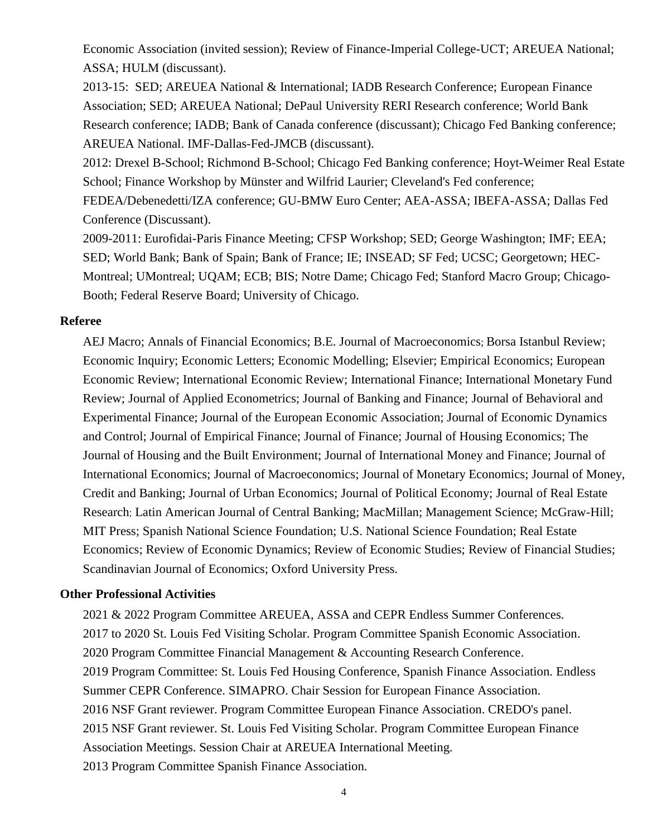Economic Association (invited session); Review of Finance-Imperial College-UCT; AREUEA National; ASSA; HULM (discussant).

2013-15: SED; AREUEA National & International; IADB Research Conference; European Finance Association; SED; AREUEA National; DePaul University RERI Research conference; World Bank Research conference; IADB; Bank of Canada conference (discussant); Chicago Fed Banking conference; AREUEA National. IMF-Dallas-Fed-JMCB (discussant).

2012: Drexel B-School; Richmond B-School; Chicago Fed Banking conference; Hoyt-Weimer Real Estate School; Finance Workshop by Münster and Wilfrid Laurier; Cleveland's Fed conference; FEDEA/Debenedetti/IZA conference; GU-BMW Euro Center; AEA-ASSA; IBEFA-ASSA; Dallas Fed Conference (Discussant).

2009-2011: Eurofidai-Paris Finance Meeting; CFSP Workshop; SED; George Washington; IMF; EEA; SED; World Bank; Bank of Spain; Bank of France; IE; INSEAD; SF Fed; UCSC; Georgetown; HEC-Montreal; UMontreal; UQAM; ECB; BIS; Notre Dame; Chicago Fed; Stanford Macro Group; Chicago-Booth; Federal Reserve Board; University of Chicago.

### **Referee**

AEJ Macro; Annals of Financial Economics; B.E. Journal of Macroeconomics; Borsa Istanbul Review; Economic Inquiry; Economic Letters; Economic Modelling; Elsevier; Empirical Economics; European Economic Review; International Economic Review; International Finance; International Monetary Fund Review; Journal of Applied Econometrics; Journal of Banking and Finance; Journal of Behavioral and Experimental Finance; Journal of the European Economic Association; Journal of Economic Dynamics and Control; Journal of Empirical Finance; Journal of Finance; Journal of Housing Economics; The Journal of Housing and the Built Environment; Journal of International Money and Finance; Journal of International Economics; Journal of Macroeconomics; Journal of Monetary Economics; Journal of Money, Credit and Banking; Journal of Urban Economics; Journal of Political Economy; Journal of Real Estate Research; Latin American Journal of Central Banking; MacMillan; Management Science; McGraw-Hill; MIT Press; Spanish National Science Foundation; U.S. National Science Foundation; Real Estate Economics; Review of Economic Dynamics; Review of Economic Studies; Review of Financial Studies; Scandinavian Journal of Economics; Oxford University Press.

### **Other Professional Activities**

2021 & 2022 Program Committee AREUEA, ASSA and CEPR Endless Summer Conferences. 2017 to 2020 St. Louis Fed Visiting Scholar. Program Committee Spanish Economic Association. 2020 Program Committee Financial Management & Accounting Research Conference. 2019 Program Committee: St. Louis Fed Housing Conference, Spanish Finance Association. Endless Summer CEPR Conference. SIMAPRO. Chair Session for European Finance Association. 2016 NSF Grant reviewer. Program Committee European Finance Association. CREDO's panel. 2015 NSF Grant reviewer. St. Louis Fed Visiting Scholar. Program Committee European Finance Association Meetings. Session Chair at AREUEA International Meeting. 2013 Program Committee Spanish Finance Association.